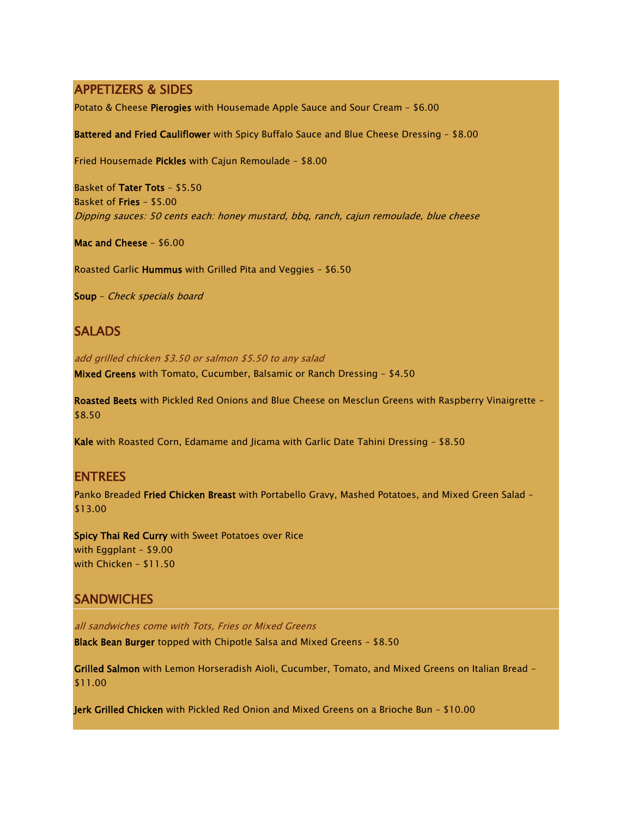## APPETIZERS & SIDES

Potato & Cheese Pierogies with Housemade Apple Sauce and Sour Cream – \$6.00

Battered and Fried Cauliflower with Spicy Buffalo Sauce and Blue Cheese Dressing – \$8.00

Fried Housemade Pickles with Cajun Remoulade – \$8.00

Basket of Tater Tots – \$5.50 Basket of Fries – \$5.00 Dipping sauces: 50 cents each: honey mustard, bbq, ranch, cajun remoulade, blue cheese

Mac and Cheese – \$6.00

Roasted Garlic Hummus with Grilled Pita and Veggies – \$6.50

Soup – Check specials board

## **SALADS**

add grilled chicken \$3.50 or salmon \$5.50 to any salad Mixed Greens with Tomato, Cucumber, Balsamic or Ranch Dressing – \$4.50

Roasted Beets with Pickled Red Onions and Blue Cheese on Mesclun Greens with Raspberry Vinaigrette – \$8.50

Kale with Roasted Corn, Edamame and Jicama with Garlic Date Tahini Dressing – \$8.50

## ENTREES

Panko Breaded Fried Chicken Breast with Portabello Gravy, Mashed Potatoes, and Mixed Green Salad -\$13.00

Spicy Thai Red Curry with Sweet Potatoes over Rice with Eggplant – \$9.00 with Chicken – \$11.50

## **SANDWICHES**

all sandwiches come with Tots, Fries or Mixed Greens Black Bean Burger topped with Chipotle Salsa and Mixed Greens – \$8.50

Grilled Salmon with Lemon Horseradish Aioli, Cucumber, Tomato, and Mixed Greens on Italian Bread – \$11.00

Jerk Grilled Chicken with Pickled Red Onion and Mixed Greens on a Brioche Bun – \$10.00